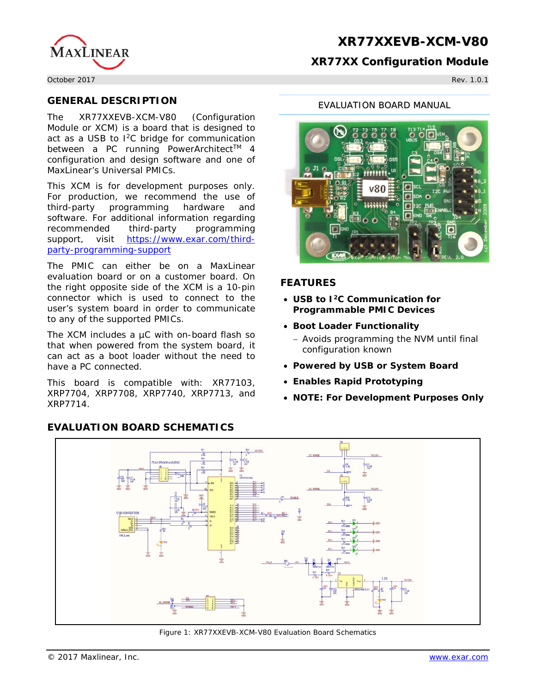

#### **XR77XX Configuration Module**

October 2017 Rev. 1.0.1

#### **GENERAL DESCRIPTION**

The XR77XXEVB-XCM-V80 (Configuration Module or XCM) is a board that is designed to act as a USB to I<sup>2</sup>C bridge for communication between a PC running PowerArchitect™ 4 configuration and design software and one of MaxLinear's Universal PMICs.

This XCM is for development purposes only. For production, we recommend the use of third-party programming hardware and software. For additional information regarding recommended third-party programming support, visit [https://www.exar.com/third](https://www.exar.com/third-party-programming-support)[party-programming-support](https://www.exar.com/third-party-programming-support)

The PMIC can either be on a MaxLinear evaluation board or on a customer board. On the right opposite side of the XCM is a 10-pin connector which is used to connect to the user's system board in order to communicate to any of the supported PMICs.

The XCM includes a µC with on-board flash so that when powered from the system board, it can act as a boot loader without the need to have a PC connected.

This board is compatible with: XR77103, XRP7704, XRP7708, XRP7740, XRP7713, and XRP7714.

### **EVALUATION BOARD SCHEMATICS**

#### EVALUATION BOARD MANUAL



### **FEATURES**

- **USB to I2C Communication for Programmable PMIC Devices**
- **Boot Loader Functionality**
	- − Avoids programming the NVM until final configuration known
- **Powered by USB or System Board**
- **Enables Rapid Prototyping**
- **NOTE: For Development Purposes Only**



Figure 1: XR77XXEVB-XCM-V80 Evaluation Board Schematics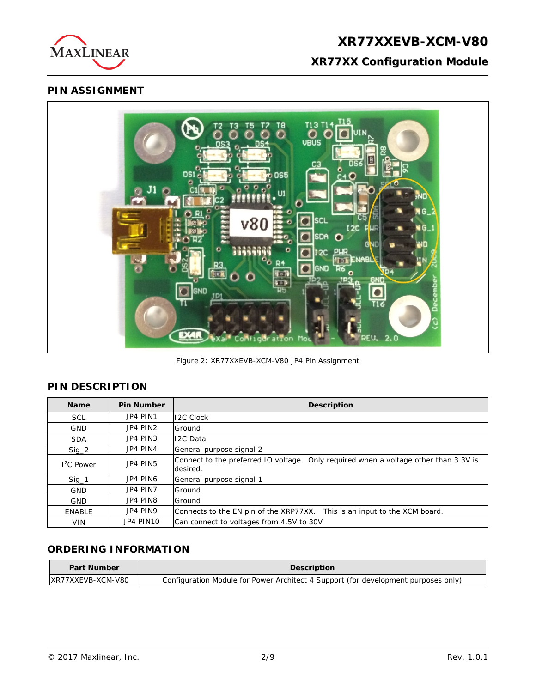

# **XR77XX Configuration Module**

## **PIN ASSIGNMENT**



Figure 2: XR77XXEVB-XCM-V80 JP4 Pin Assignment

## **PIN DESCRIPTION**

| <b>Name</b>   | <b>Pin Number</b> | <b>Description</b>                                                                               |
|---------------|-------------------|--------------------------------------------------------------------------------------------------|
| <b>SCL</b>    | JP4 PIN1          | <b>I2C Clock</b>                                                                                 |
| <b>GND</b>    | JP4 PIN2          | Ground                                                                                           |
| <b>SDA</b>    | JP4 PIN3          | 12C Data                                                                                         |
| $Sig_2$       | JP4 PIN4          | General purpose signal 2                                                                         |
| $12C$ Power   | JP4 PIN5          | Connect to the preferred IO voltage. Only required when a voltage other than 3.3V is<br>desired. |
| $Sig_1$       | JP4 PIN6          | General purpose signal 1                                                                         |
| <b>GND</b>    | JP4 PIN7          | Ground                                                                                           |
| <b>GND</b>    | JP4 PIN8          | Ground                                                                                           |
| <b>ENABLE</b> | JP4 PIN9          | Connects to the EN pin of the XRP77XX. This is an input to the XCM board.                        |
| <b>VIN</b>    | JP4 PIN10         | Can connect to voltages from 4.5V to 30V                                                         |

## **ORDERING INFORMATION**

| <b>Part Number</b> | <b>Description</b>                                                                 |  |  |
|--------------------|------------------------------------------------------------------------------------|--|--|
| IXR77XXEVB-XCM-V80 | Configuration Module for Power Architect 4 Support (for development purposes only) |  |  |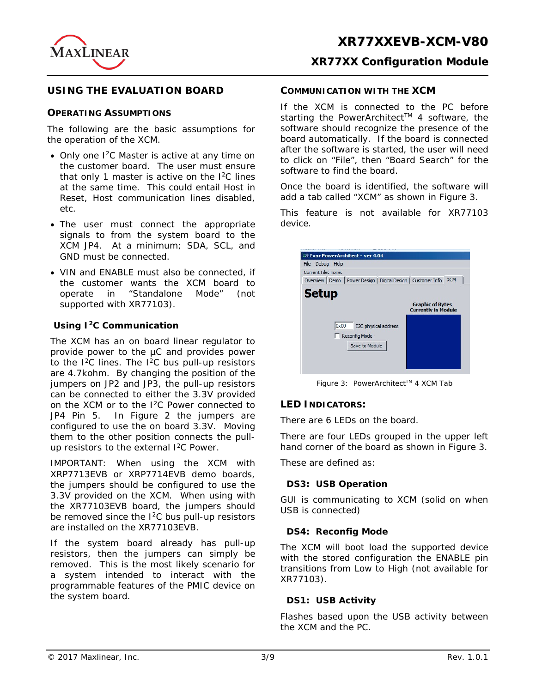

#### **USING THE EVALUATION BOARD**

#### **OPERATING ASSUMPTIONS**

The following are the basic assumptions for the operation of the XCM.

- Only one  $1^2C$  Master is active at any time on the customer board. The user must ensure that only 1 master is active on the I2C lines at the same time. This could entail Host in Reset, Host communication lines disabled, etc.
- The user must connect the appropriate signals to from the system board to the XCM JP4. At a minimum; SDA, SCL, and GND must be connected.
- VIN and ENABLE must also be connected, if the customer wants the XCM board to operate in "Standalone Mode" (not supported with XR77103).

#### **Using I2C Communication**

The XCM has an on board linear regulator to provide power to the µC and provides power to the  $1^2C$  lines. The  $1^2C$  bus pull-up resistors are 4.7kohm. By changing the position of the jumpers on JP2 and JP3, the pull-up resistors can be connected to either the 3.3V provided on the XCM or to the I2C Power connected to JP4 Pin 5. In Figure 2 the jumpers are configured to use the on board 3.3V. Moving them to the other position connects the pullup resistors to the external  $1<sup>2</sup>C$  Power.

IMPORTANT: When using the XCM with XRP7713EVB or XRP7714EVB demo boards, the jumpers should be configured to use the 3.3V provided on the XCM. When using with the XR77103EVB board, the jumpers should be removed since the I<sup>2</sup>C bus pull-up resistors are installed on the XR77103EVB.

If the system board already has pull-up resistors, then the jumpers can simply be removed. This is the most likely scenario for a system intended to interact with the programmable features of the PMIC device on the system board.

#### **COMMUNICATION WITH THE XCM**

If the XCM is connected to the PC before starting the PowerArchitect™ 4 software, the software should recognize the presence of the board automatically. If the board is connected after the software is started, the user will need to click on "File", then "Board Search" for the software to find the board.

Once the board is identified, the software will add a tab called "XCM" as shown in Figure 3.

This feature is not available for XR77103 device.



Figure 3: PowerArchitect™ 4 XCM Tab

#### **LED INDICATORS:**

There are 6 LEDs on the board.

There are four LEDs grouped in the upper left hand corner of the board as shown in Figure 3.

These are defined as:

#### **DS3: USB Operation**

GUI is communicating to XCM (solid on when USB is connected)

#### **DS4: Reconfig Mode**

The XCM will boot load the supported device with the stored configuration the ENABLE pin transitions from Low to High (not available for XR77103).

#### **DS1: USB Activity**

Flashes based upon the USB activity between the XCM and the PC.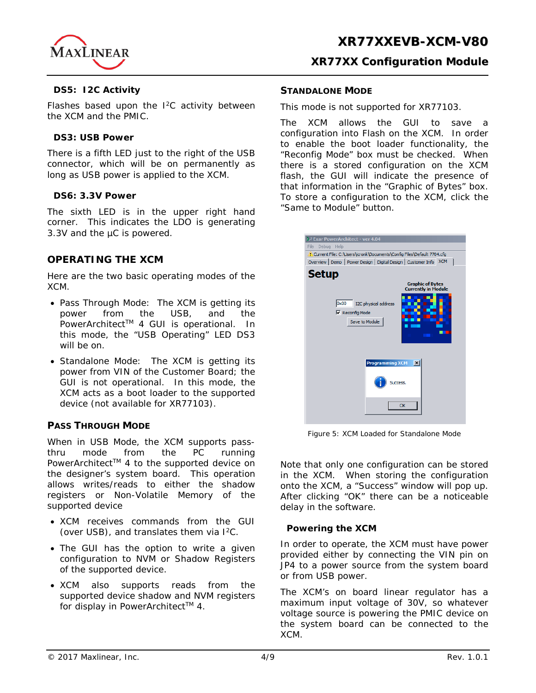

#### **DS5: I2C Activity**

Flashes based upon the I<sup>2</sup>C activity between the XCM and the PMIC.

#### **DS3: USB Power**

There is a fifth LED just to the right of the USB connector, which will be on permanently as long as USB power is applied to the XCM.

#### **DS6: 3.3V Power**

The sixth LED is in the upper right hand corner. This indicates the LDO is generating 3.3V and the µC is powered.

## **OPERATING THE XCM**

Here are the two basic operating modes of the XCM.

- Pass Through Mode: The XCM is getting its power from the USB, and the PowerArchitect<sup>™</sup> 4 GUI is operational. In this mode, the "USB Operating" LED DS3 will be on.
- Standalone Mode: The XCM is getting its power from VIN of the Customer Board; the GUI is not operational. In this mode, the XCM acts as a boot loader to the supported device (not available for XR77103).

#### **PASS THROUGH MODE**

When in USB Mode, the XCM supports passthru mode from the PC running PowerArchitect<sup>™</sup> 4 to the supported device on the designer's system board. This operation allows writes/reads to either the shadow registers or Non-Volatile Memory of the supported device

- XCM receives commands from the GUI (over USB), and translates them via  $1^2C$ .
- The GUI has the option to write a given configuration to NVM or Shadow Registers of the supported device.
- XCM also supports reads from the supported device shadow and NVM registers for display in PowerArchitect™ 4.

#### **STANDALONE MODE**

This mode is not supported for XR77103.

The XCM allows the GUI to save a configuration into Flash on the XCM. In order to enable the boot loader functionality, the "Reconfig Mode" box must be checked. When there is a stored configuration on the XCM flash, the GUI will indicate the presence of that information in the "Graphic of Bytes" box. To store a configuration to the XCM, click the "Same to Module" button.

| 22 Exar PowerArchitect - ver 4.04                                             |
|-------------------------------------------------------------------------------|
| Debua Help<br>File                                                            |
| Current File: C:\Users\jcronk\Documents\Config Files\Default 7704.cfg         |
| Overview   Demo   Power Design   Digital Design   Customer Info<br><b>XCM</b> |
| <b>Setup</b><br><b>Graphic of Bytes</b><br><b>Currently in Module</b>         |
| 0x00<br>I2C physical address<br>$\nabla$ Reconfig Mode<br>Save to Module      |
| <b>Programming XCM</b><br>$\vert x \vert$                                     |
| Success.<br>OK                                                                |
|                                                                               |

Figure 5: XCM Loaded for Standalone Mode

Note that only one configuration can be stored in the XCM. When storing the configuration onto the XCM, a "Success" window will pop up. After clicking "OK" there can be a noticeable delay in the software.

#### **Powering the XCM**

In order to operate, the XCM must have power provided either by connecting the VIN pin on JP4 to a power source from the system board or from USB power.

The XCM's on board linear regulator has a maximum input voltage of 30V, so whatever voltage source is powering the PMIC device on the system board can be connected to the XCM.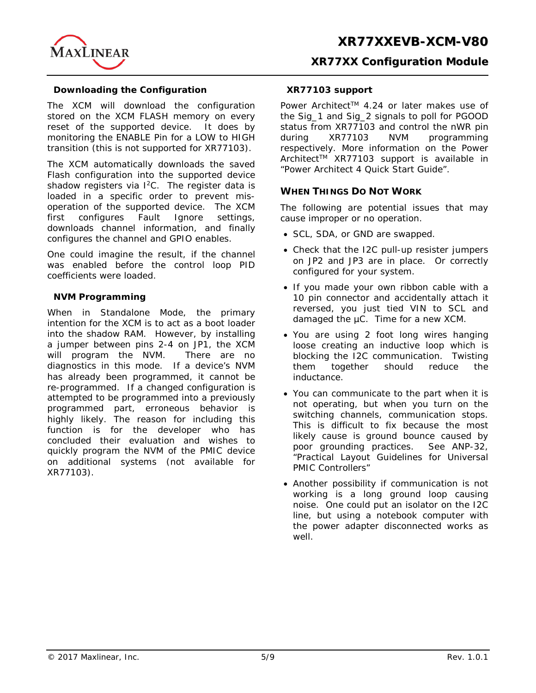

#### **Downloading the Configuration**

The XCM will download the configuration stored on the XCM FLASH memory on every reset of the supported device. It does by monitoring the ENABLE Pin for a LOW to HIGH transition (this is not supported for XR77103).

The XCM automatically downloads the saved Flash configuration into the supported device shadow registers via  $1^2C$ . The register data is loaded in a specific order to prevent misoperation of the supported device. The XCM first configures Fault Ignore settings, downloads channel information, and finally configures the channel and GPIO enables.

One could imagine the result, if the channel was enabled before the control loop PID coefficients were loaded.

#### **NVM Programming**

When in Standalone Mode, the primary intention for the XCM is to act as a boot loader into the shadow RAM. However, by installing a jumper between pins 2-4 on JP1, the XCM will program the NVM. There are no diagnostics in this mode. If a device's NVM has already been programmed, it cannot be re-programmed. If a changed configuration is attempted to be programmed into a previously programmed part, erroneous behavior is highly likely. The reason for including this function is for the developer who has concluded their evaluation and wishes to quickly program the NVM of the PMIC device on additional systems (not available for XR77103).

#### **XR77103 support**

Power Architect™ 4.24 or later makes use of the Sig\_1 and Sig\_2 signals to poll for PGOOD status from XR77103 and control the nWR pin during XR77103 NVM programming respectively. More information on the Power Architect<sup>™</sup> XR77103 support is available in "Power Architect 4 Quick Start Guide".

#### **WHEN THINGS DO NOT WORK**

The following are potential issues that may cause improper or no operation.

- SCL, SDA, or GND are swapped.
- Check that the I2C pull-up resister jumpers on JP2 and JP3 are in place. Or correctly configured for your system.
- If you made your own ribbon cable with a 10 pin connector and accidentally attach it reversed, you just tied VIN to SCL and damaged the  $\mu$ C. Time for a new XCM.
- You are using 2 foot long wires hanging loose creating an inductive loop which is blocking the I2C communication. Twisting them together should reduce the inductance.
- You can communicate to the part when it is not operating, but when you turn on the switching channels, communication stops. This is difficult to fix because the most likely cause is ground bounce caused by poor grounding practices. See ANP-32, "Practical Layout Guidelines for Universal PMIC Controllers"
- Another possibility if communication is not working is a long ground loop causing noise. One could put an isolator on the I2C line, but using a notebook computer with the power adapter disconnected works as well.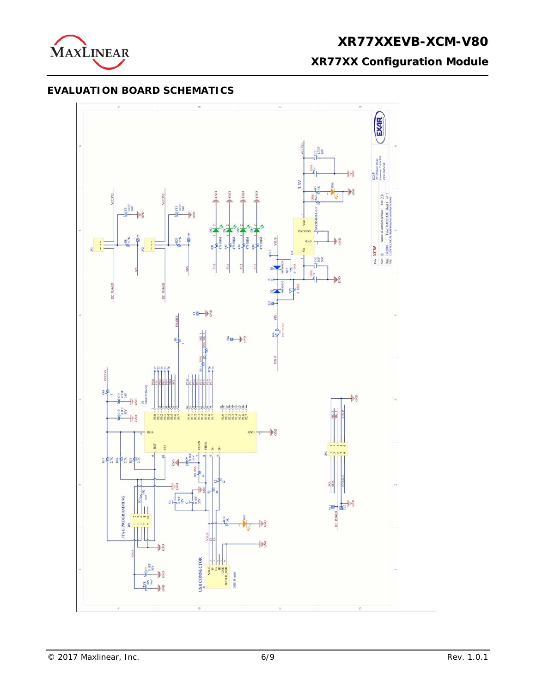

**XR77XX Configuration Module**

## **EVALUATION BOARD SCHEMATICS**

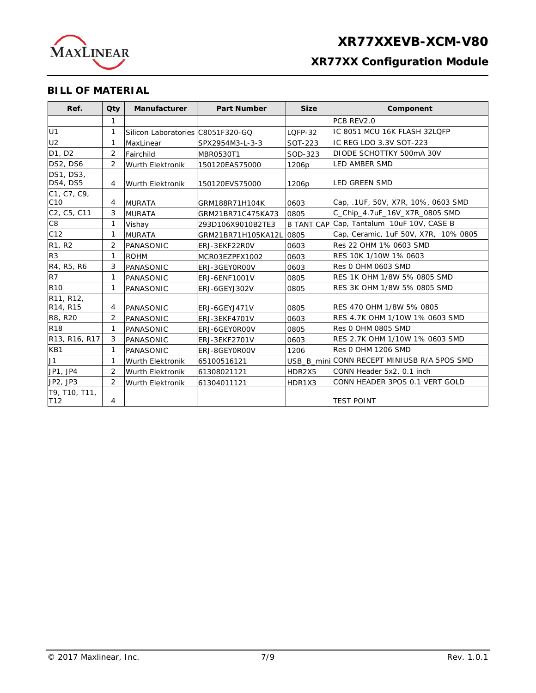

## **XR77XX Configuration Module**

## **BILL OF MATERIAL**

| Ref.                            | <b>Oty</b>     | <b>Manufacturer</b>               | <b>Part Number</b>   | <b>Size</b> | Component                                   |
|---------------------------------|----------------|-----------------------------------|----------------------|-------------|---------------------------------------------|
|                                 | 1              |                                   |                      |             | PCB REV2.0                                  |
| U <sub>1</sub>                  | 1              | Silicon Laboratories C8051F320-GQ |                      | LQFP-32     | IC 8051 MCU 16K FLASH 32LQFP                |
| U <sub>2</sub>                  | 1              | MaxLinear                         | SPX2954M3-L-3-3      | SOT-223     | IIC REG LDO 3.3V SOT-223                    |
| D1, D2                          | 2              | Fairchild                         | MBR0530T1            | SOD-323     | DIODE SCHOTTKY 500mA 30V                    |
| DS2, DS6                        | 2              | Wurth Elektronik                  | 150120EAS75000       | 1206p       | <b>LED AMBER SMD</b>                        |
| <b>DS1, DS3,</b><br>DS4, DS5    | 4              | Wurth Elektronik                  | 150120EVS75000       | 1206p       | lled Green SMD                              |
| C1, C7, C9,<br>C <sub>10</sub>  | 4              | <b>MURATA</b>                     | GRM188R71H104K       | 0603        | Cap, .1UF, 50V, X7R, 10%, 0603 SMD          |
| C2, C5, C11                     | 3              | <b>MURATA</b>                     | GRM21BR71C475KA73    | 0805        | C_Chip_4.7uF_16V_X7R_0805 SMD               |
| C <sub>8</sub>                  | 1              | Vishay                            | 293D106X9010B2TE3    |             | B TANT CAP Cap, Tantalum 10uF 10V, CASE B   |
| C12                             | 1              | <b>MURATA</b>                     | GRM21BR71H105KA12L   | 0805        | Cap, Ceramic, 1uF 50V, X7R, 10% 0805        |
| R <sub>1</sub> , R <sub>2</sub> | $\overline{2}$ | PANASONIC                         | ERJ-3EKF22ROV        | 0603        | Res 22 OHM 1% 0603 SMD                      |
| R <sub>3</sub>                  | 1              | <b>ROHM</b>                       | MCR03EZPFX1002       | 0603        | RES 10K 1/10W 1% 0603                       |
| R4, R5, R6                      | 3              | PANASONIC                         | ERJ-3GEY0R00V        | 0603        | Res 0 OHM 0603 SMD                          |
| R7                              | 1              | PANASONIC                         | ERJ-6ENF1001V        | 0805        | RES 1K OHM 1/8W 5% 0805 SMD                 |
| <b>R10</b>                      | $\mathbf{1}$   | PANASONIC                         | ERJ-6GEYJ302V        | 0805        | RES 3K OHM 1/8W 5% 0805 SMD                 |
| R11, R12,<br>R14, R15           | 4              | PANASONIC                         | ERJ-6GEYJ471V        | 0805        | IRES 470 OHM 1/8W 5% 0805                   |
| R8, R20                         | 2              | PANASONIC                         | <b>ERJ-3EKF4701V</b> | 0603        | RES 4.7K OHM 1/10W 1% 0603 SMD              |
| R <sub>18</sub>                 | 1              | PANASONIC                         | ERJ-6GEY0R00V        | 0805        | Res 0 OHM 0805 SMD                          |
| R13, R16, R17                   | 3              | PANASONIC                         | ERJ-3EKF2701V        | 0603        | RES 2.7K OHM 1/10W 1% 0603 SMD              |
| KB1                             | $\mathbf{1}$   | PANASONIC                         | ERJ-8GEY0R00V        | 1206        | Res 0 OHM 1206 SMD                          |
| J1                              | 1              | Wurth Elektronik                  | 65100516121          |             | USB_B_mini CONN RECEPT MINIUSB R/A 5POS SMD |
| JP1, JP4                        | $\overline{2}$ | <b>Wurth Elektronik</b>           | 61308021121          | HDR2X5      | CONN Header 5x2, 0.1 inch                   |
| JP2, JP3                        | 2              | Wurth Elektronik                  | 61304011121          | HDR1X3      | ICONN HEADER 3POS 0.1 VERT GOLD             |
| T9, T10, T11,<br>T12            | 4              |                                   |                      |             | <b>TEST POINT</b>                           |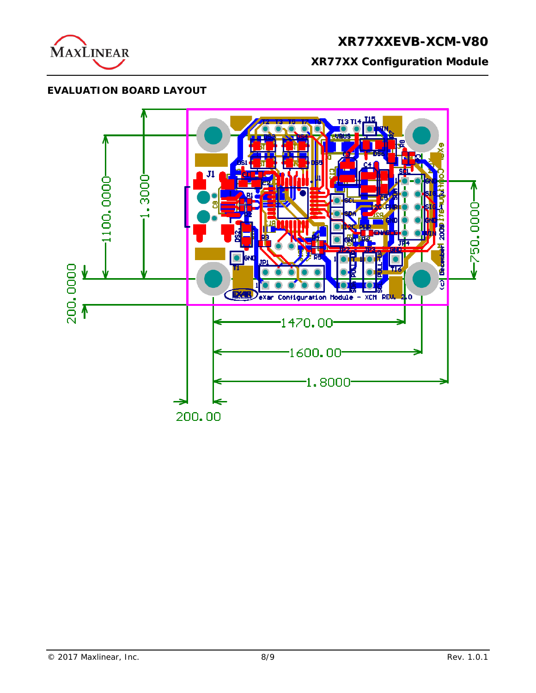

# **XR77XXEVB-XCM-V80 XR77XX Configuration Module**

## **EVALUATION BOARD LAYOUT**